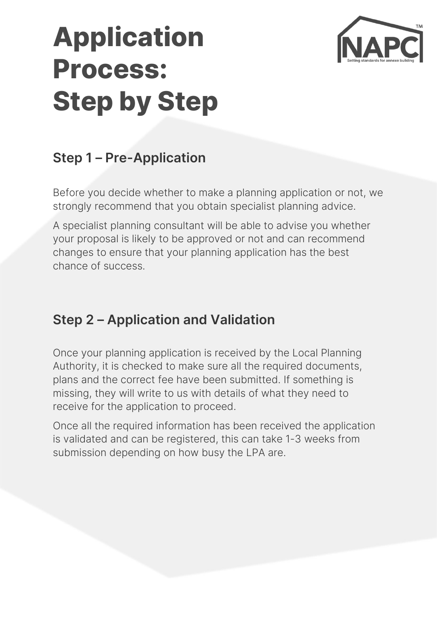# **Application Process: Step by Step**



## **Step 1 – Pre-Application**

Before you decide whether to make a planning application or not, we strongly recommend that you obtain specialist planning advice.

A specialist planning consultant will be able to advise you whether your proposal is likely to be approved or not and can recommend changes to ensure that your planning application has the best chance of success.

#### **Step 2 – Application and Validation**

Once your planning application is received by the Local Planning Authority, it is checked to make sure all the required documents, plans and the correct fee have been submitted. If something is missing, they will write to us with details of what they need to receive for the application to proceed.

Once all the required information has been received the application is validated and can be registered, this can take 1-3 weeks from submission depending on how busy the LPA are.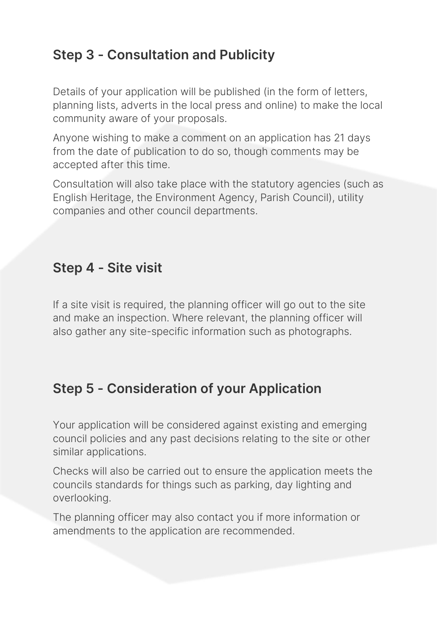## **Step 3 - Consultation and Publicity**

Details of your application will be published (in the form of letters, planning lists, adverts in the local press and online) to make the local community aware of your proposals.

Anyone wishing to make a comment on an application has 21 days from the date of publication to do so, though comments may be accepted after this time.

Consultation will also take place with the statutory agencies (such as English Heritage, the Environment Agency, Parish Council), utility companies and other council departments.

#### **Step 4 - Site visit**

If a site visit is required, the planning officer will go out to the site and make an inspection. Where relevant, the planning officer will also gather any site-specific information such as photographs.

## **Step 5 - Consideration of your Application**

Your application will be considered against existing and emerging council policies and any past decisions relating to the site or other similar applications.

Checks will also be carried out to ensure the application meets the councils standards for things such as parking, day lighting and overlooking.

The planning officer may also contact you if more information or amendments to the application are recommended.